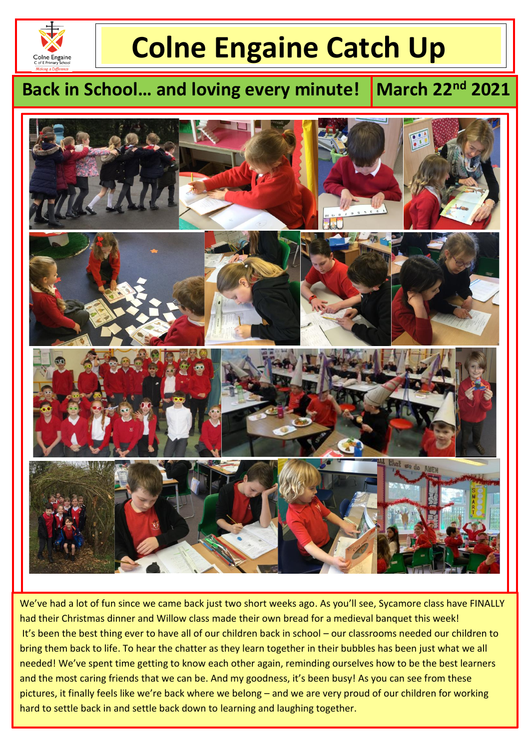

l

# **Colne Engaine Catch Up**

# **Back in School... and loving every minute!**

**March 22nd 2021** 



We've had a lot of fun since we came back just two short weeks ago. As you'll see, Sycamore class have FINALLY had their Christmas dinner and Willow class made their own bread for a medieval banquet this week! It's been the best thing ever to have all of our children back in school – our classrooms needed our children to bring them back to life. To hear the chatter as they learn together in their bubbles has been just what we all needed! We've spent time getting to know each other again, reminding ourselves how to be the best learners and the most caring friends that we can be. And my goodness, it's been busy! As you can see from these pictures, it finally feels like we're back where we belong – and we are very proud of our children for working hard to settle back in and settle back down to learning and laughing together.